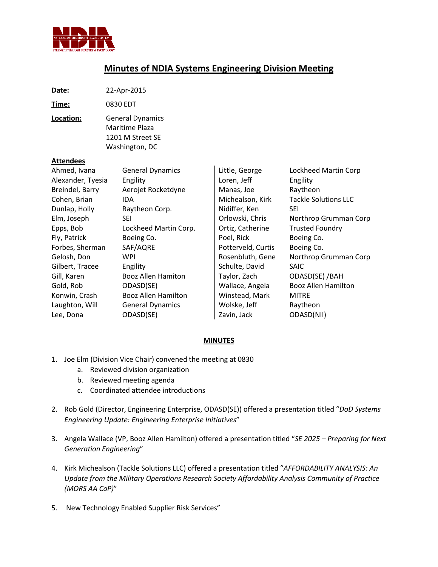

## **Minutes of NDIA Systems Engineering Division Meeting**

| Date:                            | 22-Apr-2015                                                                     |                |                      |
|----------------------------------|---------------------------------------------------------------------------------|----------------|----------------------|
| Time:                            | 0830 EDT                                                                        |                |                      |
| Location:                        | <b>General Dynamics</b><br>Maritime Plaza<br>1201 M Street SE<br>Washington, DC |                |                      |
| <b>Attendees</b><br>Ahmed, Ivana | <b>General Dynamics</b>                                                         | Little, George | Lockheed Martin Corp |

| Alexander, Tyesia | Engility                   | Loren, Jeff        | Engility                    |
|-------------------|----------------------------|--------------------|-----------------------------|
| Breindel, Barry   | Aerojet Rocketdyne         | Manas, Joe         | Raytheon                    |
| Cohen, Brian      | IDA                        | Michealson, Kirk   | <b>Tackle Solutions LLC</b> |
| Dunlap, Holly     | Raytheon Corp.             | Nidiffer, Ken      | <b>SEI</b>                  |
| Elm, Joseph       | <b>SEI</b>                 | Orlowski, Chris    | Northrop Grumman Corp       |
| Epps, Bob         | Lockheed Martin Corp.      | Ortiz, Catherine   | <b>Trusted Foundry</b>      |
| Fly, Patrick      | Boeing Co.                 | Poel, Rick         | Boeing Co.                  |
| Forbes, Sherman   | SAF/AQRE                   | Potterveld, Curtis | Boeing Co.                  |
| Gelosh, Don       | <b>WPI</b>                 | Rosenbluth, Gene   | Northrop Grumman Corp       |
| Gilbert, Tracee   | Engility                   | Schulte, David     | <b>SAIC</b>                 |
| Gill, Karen       | <b>Booz Allen Hamiton</b>  | Taylor, Zach       | ODASD(SE) / BAH             |
| Gold, Rob         | ODASD(SE)                  | Wallace, Angela    | <b>Booz Allen Hamilton</b>  |
| Konwin, Crash     | <b>Booz Allen Hamilton</b> | Winstead, Mark     | <b>MITRE</b>                |
| Laughton, Will    | <b>General Dynamics</b>    | Wolske, Jeff       | Raytheon                    |
| Lee, Dona         | ODASD(SE)                  | Zavin, Jack        | ODASD(NII)                  |

## **MINUTES**

- 1. Joe Elm (Division Vice Chair) convened the meeting at 0830
	- a. Reviewed division organization
	- b. Reviewed meeting agenda
	- c. Coordinated attendee introductions
- 2. Rob Gold (Director, Engineering Enterprise, ODASD(SE)) offered a presentation titled "*DoD Systems Engineering Update: Engineering Enterprise Initiatives*"
- 3. Angela Wallace (VP, Booz Allen Hamilton) offered a presentation titled "*SE 2025 – Preparing for Next Generation Engineering*"
- 4. Kirk Michealson (Tackle Solutions LLC) offered a presentation titled "*AFFORDABILITY ANALYSIS: An Update from the Military Operations Research Society Affordability Analysis Community of Practice (MORS AA CoP)*"
- 5. New Technology Enabled Supplier Risk Services"